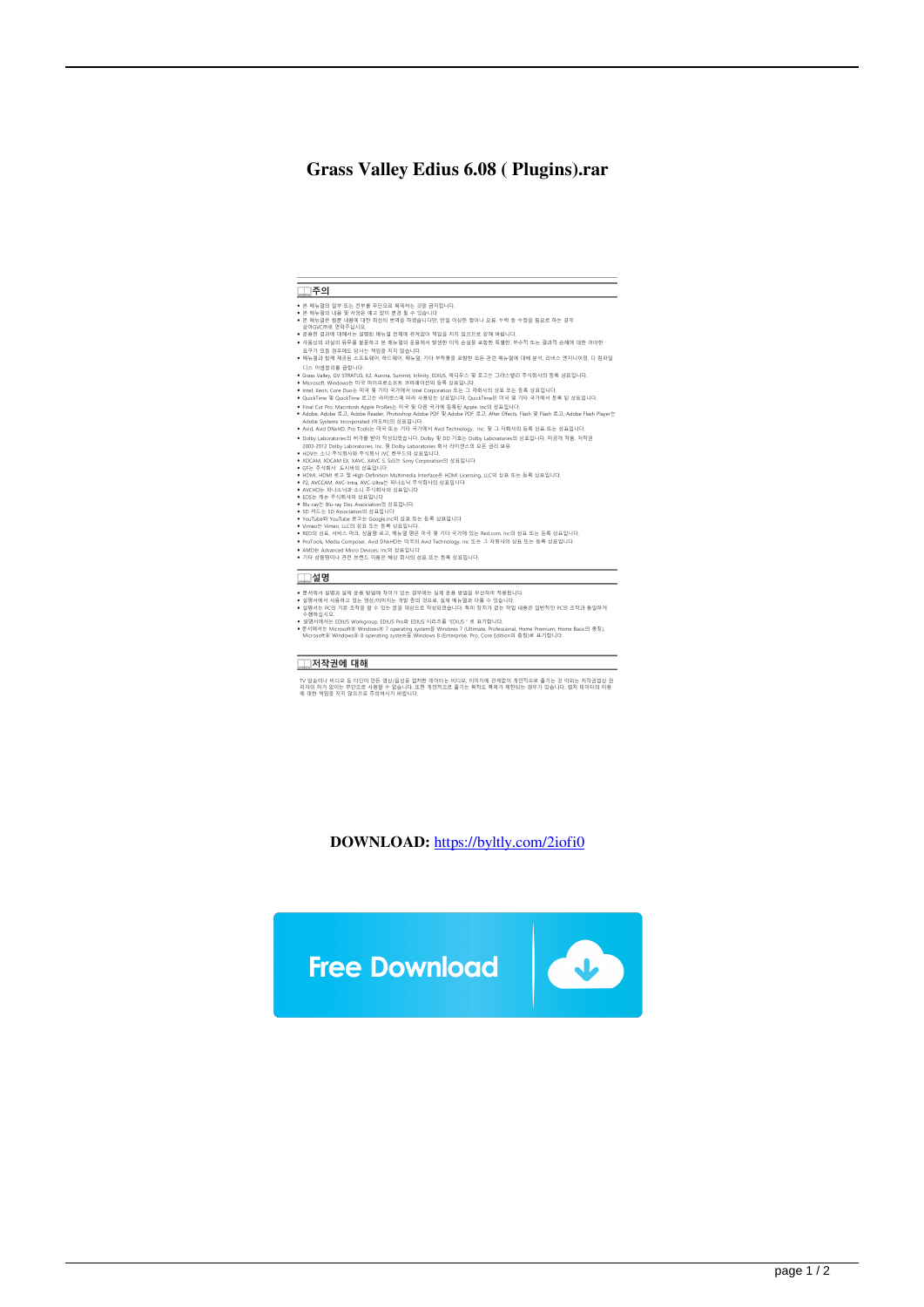## Grass Valley Edius 6.08 (Plugins).rar

| 주의                                                                                                                                                                                                                                                                                      |  |
|-----------------------------------------------------------------------------------------------------------------------------------------------------------------------------------------------------------------------------------------------------------------------------------------|--|
| • 본 매뉴멀의 일부 또는 전부를 무단으로 복제하는 것을 금지한니다.<br>● 본 매뉴얼의 내용 및 사양은 예고 없이 변경 될 수 있습니다<br>● 본 매뉴얼은 원문 내용에 대한 최선의 번역을 하였습니다만, 만일 이상한 점이나 오류, 누락 등 수정을 필요로 하는 경우                                                                                                                                   |  |
| 삼아GVC㈜로 연락주십시오.<br>● 운용한 결과에 대해서는 설명된 매뉴얼 전체에 관계없이 책임을 지지 않으므로 양해 바랍니다.<br>● 사용상의 과실의 유무를 불문하고 본 매뉴일의 운용에서 발생한 이익 손실을 포함한 특별한, 부수적 또는 결과적 손해에 대한 어떠한<br>요구가 있을 경우에도 당사는 책임을 지지 않습니다.                                                                                                    |  |
| ● 매뉴얼과 함께 제공된 소프트웨어, 하드웨어, 매뉴얼, 기타 부착물을 포함한 모든 관련 매뉴얼에 대해 분석, 리버스 엔지니어링, 디 컴파일                                                                                                                                                                                                          |  |
| 디스 어셈블리를 금합니다.<br>• Grass Valley, GV STRATUS, K2, Aurora, Summit, Infinity, EDIUS, 에디우스 및 로고는 그라스밸리 주식회사의 등록 상표입니다.<br>• Microsoft. Windows는 미국 마이크로소프트 코퍼레이션의 등록 상표입니다.                                                                                                                |  |
| • Intel, Xeon, Core Duo는 미국 및 기타 국가에서 Intel Corporation 또는 그 자회사의 상표 또는 등록 상표입니다.<br>• QuickTime 및 QuickTime 로고는 라이센스에 따라 사용되는 상표입니다. QuickTime은 미국 및 기타 국가에서 등록 된 상표입니다.                                                                                                               |  |
| • Final Cut Pro. Macintosh Apple ProRes는 미국 및 다른 국가에 등록된 Apple, Inc의 상표입니다.<br>• Adobe, Adobe 로고, Adobe Reader, Photoshop Adobe PDF 및 Adobe PDF 로고, After Effects, Flash 및 Flash 로고, Adobe Flash Player는<br>Adobe Systems Incorporated (어도비)의 상표입니다.                                    |  |
| • Avid, Avid DNxHD, Pro Tools는 미국 또는 기타 국가에서 Avid Technology, Inc, 및 그 자회사의 등록 상표 또는 상표입니다.                                                                                                                                                                                             |  |
| ● Dolby Laboratories의 허가를 받아 작성되었습니다. Dolby 및 DD 기호는 Dolby Laboratories의 상표입니다. 미공개 작품, 저작권<br>2003-2012 Dolby Laboratories, Inc. 및 Dolby Laboratories 회사 라이센스의 모든 권리 보유.<br>• HDV는 소니 주식회사와 주식회사 JVC 켄우드의 상표입니다.                                                                       |  |
| • XDCAM, XDCAM EX, XAVC, XAVC S, SxS는 Sony Corporation의 상표입니다<br>• GF는 주식회사 도시바의 상표입니다.                                                                                                                                                                                                 |  |
| • HDMI, HDMI 로고 및 High-Definition Multimedia Interface은 HDMI Licensing, LLC의 상표 또는 등록 상표입니다.<br>• P2, AVCCAM, AVC-Intra, AVC-Ultra는 파나소닉 주식회사의 상표입니다<br>• AVCHD는 파나소닉과 소니 주식회사의 상표입니다                                                                                                   |  |
| • EOS는 캐논 주식회사의 상표입니다<br>• Blu-rav는 Blu-rav Disc Association의 상표입니다.                                                                                                                                                                                                                    |  |
| • SD 카드는 SD Association의 상표입니다<br>• YouTube와 YouTube 로고는 Google.Inc의 상표 또는 등록 상표입니다                                                                                                                                                                                                     |  |
| • Vimeo는 Vimeo, LLC의 상표 또는 등록 상표입니다.                                                                                                                                                                                                                                                    |  |
| ● RED의 상표, 서비스 마크, 상품명 로고, 매뉴얼 명은 미국 및 기타 국가에 있는 Red.com, Inc의 상표 또는 등록 상표입니다.<br>• ProTools, Media Composer, Avid DNxHD는 미국의 Avid Technology, Inc 또는 그 자회사의 상표 또는 등록 상표입니다                                                                                                             |  |
| • AMD는 Advanced Micro Devices Inc의 상표입니다.<br>• 기타 상품명이나 관련 브랜드 이름은 해상 회사의 상표 또는 등록 상표입니다.                                                                                                                                                                                               |  |
| 설명                                                                                                                                                                                                                                                                                      |  |
| ● 문서에서 설명과 실제 운용 방법에 차이가 있는 경우에는 실제 운용 방법을 우선하여 적용합니다.<br>● 설명서에서 사용하고 있는 영상/이미지는 개발 중의 것으로, 실제 매뉴얼과 다를 수 있습니다.<br>● 설명서는 PC의 기본 조작을 할 수 있는 분을 대상으로 작성되었습니다. 특히 장치가 없는 작업 내용은 일반적인 PC의 조작과 동일하게<br>수행하십시오.                                                                              |  |
| • 설명서에서는 EDIUS Workgroup, EDIUS Pro와 EDIUS 시리즈를 "EDIUS " 로 표기합니다.<br>• 문서에서는 Microsoft® Windows® 7 operating system을 Windows 7 (Ultimate, Professional, Home Premium, Home Basic의 종칭).<br>Microsoft® Windows® 8 operating system을 Windows 8 (Enterprise, Pro, Core Edition의 총칭)로 표기합니다. |  |

## **IN 전작권에 대해**

TV 방송이나 비디오 등 타인이 만든 영상/음성을 캡쳐한 데이터는 비디오, 이미지에 관계없이 개인적으로 즐기는 것 이외는 저작권법상 권<br>리자의 하가 없어는 무단으로 사용할 수 없습니다. 또한 개인적으로 즐기는 목적도 북제가 재한되는 경우가 있습니다. 캡처 데이터의 이용<br>에 대한 책임을 지지 않으므로 주의하시기 바랍니다.

DOWNLOAD: https://byltly.com/2iofi0